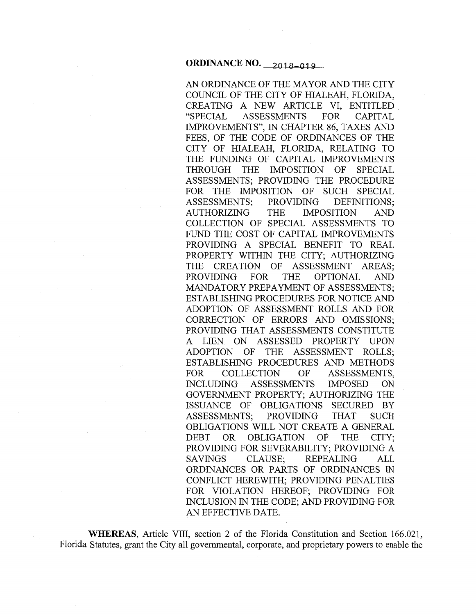### **ORDINANCE NO.** 2018-019

AN ORDINANCE OF THE MAYOR AND THE CITY COUNCIL OF THE CITY OF HIALEAH, FLORIDA, CREATING A NEW ARTICLE VI, ENTITLED. "SPECIAL ASSESSMENTS FOR CAPITAL IMPROVEMENTS", IN CHAPTER 86, TAXES AND FEES, OF THE CODE OF ORDINANCES OF THE CITY OF HIALEAH, FLORIDA, RELATING TO THE FUNDING OF CAPITAL IMPROVEMENTS THROUGH THE IMPOSITION OF SPECIAL ASSESSMENTS; PROVIDING THE PROCEDURE FOR THE IMPOSITION OF SUCH SPECIAL ASSESSMENTS; PROVIDING DEFINITIONS; AUTHORIZING THE IMPOSITION AND COLLECTION OF SPECIAL ASSESSMENTS TO FUND THE COST OF CAPITAL IMPROVEMENTS PROVIDING A SPECIAL BENEFIT TO REAL PROPERTY WITHIN THE CITY; AUTHORIZING THE CREATION OF ASSESSMENT AREAS; PROVIDING FOR THE OPTIONAL AND MANDATORY PREPAYMENT OF ASSESSMENTS; ESTABLISHING PROCEDURES FOR NOTICE AND ADOPTION OF ASSESSMENT ROLLS AND FOR CORRECTION OF ERRORS AND OMISSIONS; PROVIDING THAT ASSESSMENTS CONSTITUTE A LIEN ON ASSESSED PROPERTY UPON ADOPTION OF THE ASSESSMENT ROLLS; ESTABLISHING PROCEDURES AND METHODS FOR COLLECTION OF ASSESSMENTS, INCLUDING ASSESSMENTS IMPOSED ON GOVERNMENT PROPERTY; AUTHORIZING THE ISSUANCE OF OBLIGATIONS SECURED BY ASSESSMENTS; PROVIDING THAT SUCH OBLIGATIONS WILL NOT CREATE A GENERAL DEBT OR OBLIGATION OF THE CITY; PROVIDING FOR SEVERABILITY; PROVIDING A SAVINGS CLAUSE; REPEALING ALL ORDINANCES OR PARTS OF ORDINANCES IN CONFLICT HEREWITH; PROVIDING PENALTIES FOR VIOLATION HEREOF; PROVIDING FOR INCLUSION IN THE CODE; AND PROVIDING FOR AN EFFECTIVE DATE.

**WHEREAS,** Article VIII, section 2 of the Florida Constitution and Section 166.021, Florida Statutes, grant the City all governmental, corporate, and proprietary powers to enable the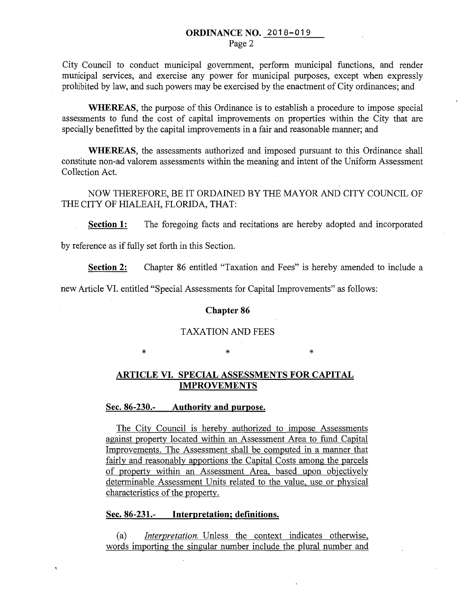## ORDINANCE NO. 2018-019

Page 2

City Council to conduct municipal government, perform municipal functions, and render municipal services, and exercise any power for municipal purposes, except when expressly prohibited by law, and such powers may be exercised by the enactment of City ordinances; and

WHEREAS, the purpose of this Ordinance is to establish a procedure to impose special assessments to fund the cost of capital improvements on properties within the City that are specially benefitted by the capital improvements in a fair and reasonable manner; and

WHEREAS, the assessments authorized and imposed pursuant to this Ordinance shall constitute non-ad valorem assessments within the meaning and intent of the Uniform Assessment Collection Act.

NOW THEREFORE, BE IT ORDAINED BY THE MAYOR AND CITY COUNCIL OF THE CITY OF HIALEAH, FLORIDA, THAT:

Section 1: The foregoing facts and recitations are hereby adopted and incorporated

by reference as if fully set forth in this Section.

Section 2: Chapter 86 entitled "Taxation and Fees" is hereby amended to include a

new Article VI. entitled "Special Assessments for Capital Improvements" as follows:

#### Chapter 86

### TAXATION AND FEES

\* \* \* \* \* \*

### ARTICLE VI. SPECIAL ASSESSMENTS FOR CAPITAL IMPROVEMENTS

#### Sec. 86-230.- Authority and purpose.

The City Council is hereby authorized to impose Assessments against property located within an Assessment Area to fund Capital Improvements. The Assessment shall be computed in a manner that fairly and reasonably apportions the Capital Costs among the parcels of property within an Assessment Area, based upon objectively determinable Assessment Units related to the value, use or physical characteristics of the property.

#### Sec. 86-231.- Interpretation; definitions.

(a) *Interpretation.* Unless the context indicates otherwise, words importing the singular number include the plural number and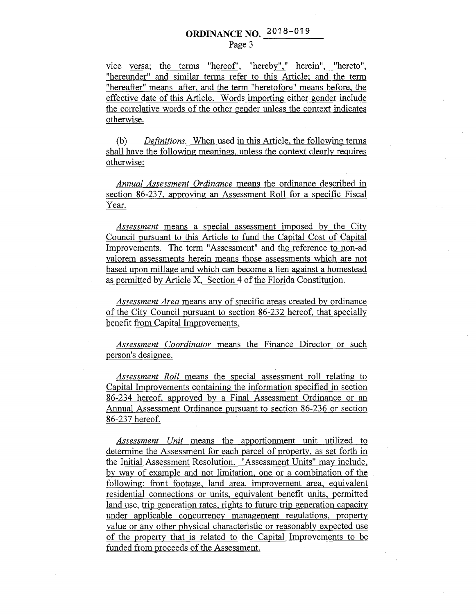vice versa: the terms "hereof', "hereby"," herein", "hereto", "hereunder" and similar terms refer to this Article; and the term "hereafter" means after, and the term "heretofore" means before, the effective date of this Article. Words importing either gender include the correlative words of the other gender unless the context indicates otherwise.

(b) *Definitions.* When used in this Article, the following terms shall have the following meanings, unless the context clearly requires otherwise:

*Annual Assessment Ordinance* means the ordinance described in section 86-237, approving an Assessment Roll for a specific Fiscal Year.

*Assessment* means a special assessment imposed by the City Council pursuant to this Article to fund the Capital Cost of Capital Improvements. The term "Assessment" and the reference to non-ad valorem assessments herein means those assessments which are not based upon millage and which can become a lien against a homestead as permitted by Article X, Section 4 of the Florida Constitution.

*Assessment Area* means any of specific areas created by ordinance of the City Council pursuant to section 86-232 hereof, that specially benefit from Capital Improvements.

*Assessment Coordinator* means the Finance Director or such person's designee.

*Assessment Roll* means the special assessment roll relating to Capital Improvements containing the information specified in section 86-234 hereof, approved by a Final Assessment Ordinance or an Annual Assessment Ordinance pursuant to section 86-236 or section 86-237 hereof.

*Assessment Unit* means the apportionment unit utilized to determine the Assessment for each parcel of property, as set forth in the Initial Assessment Resolution. "Assessment Units" may include, by way of example and not limitation, one or a combination of the following: front footage, land area, improvement area, equivalent residential connections or units, equivalent benefit units, permitted land use, trip generation rates, rights to future trip generation capacity under applicable concurrency management regulations, property value or any other physical characteristic or reasonably expected use of the property that is related to the Capital Improvements to be funded from proceeds of the Assessment.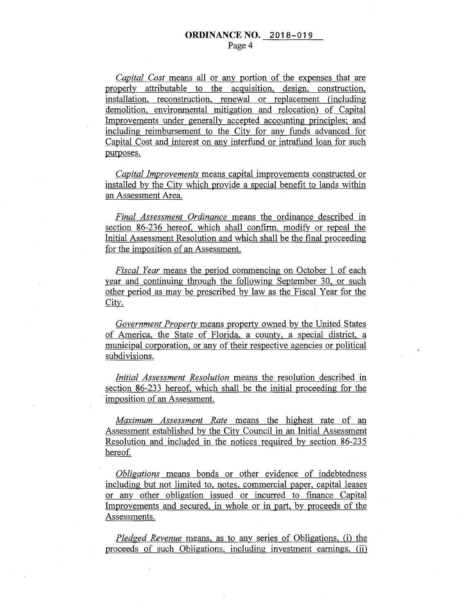*Capital Cost* means all or any portion of the expenses that are properly attributable to the acquisition, design, construction, installation, reconstruction, renewal or replacement (including demolition, environmental mitigation and relocation) of Capital Improvements under generally accepted accounting principles; and including reimbursement to the City for any funds advanced for Capital Cost and interest on any interfund or intrafund loan for such purposes.

*Capital Improvements* means capital improvements constructed or installed by the City which provide a special benefit to lands within an Assessment Area.

*Final Assessment Ordinance* means the ordinance described in section 86-236 hereof, which shall confirm, modify or repeal the Initial Assessment Resolution and which shall be the final proceeding for the imposition of an Assessment.

*Fiscal Year* means the period commencing on October 1 of each year and continuing through the following September 30, or such other period as may be prescribed by law as the 'Fiscal Year for the City.

*Government Property* means property owned by the United States of America, the State of Florida, a county, a special district, a municipal corporation, or any of their respective agencies or political subdivisions.

*Initial Assessment Resolution* means the resolution described in section 86-233 hereof, which shall be the initial proceeding for the imposition of an Assessment.

*Maximum Assessment Rate* means the highest rate of an Assessment established by the City Council in an Initial Assessment Resolution and included in the notices required by section 86-235 hereof.

*Obligations* means bonds or other evidence of indebtedness including but not limited to, notes, commercial paper, capital leases or any other obligation issued or incurred to finance Capital Improvements and secured, in whole or in part, by proceeds of the Assessments.

*Pledged Revenue* means, as to any series of Obligations, (i) the proceeds of such Obligations, including investment earnings, (ii)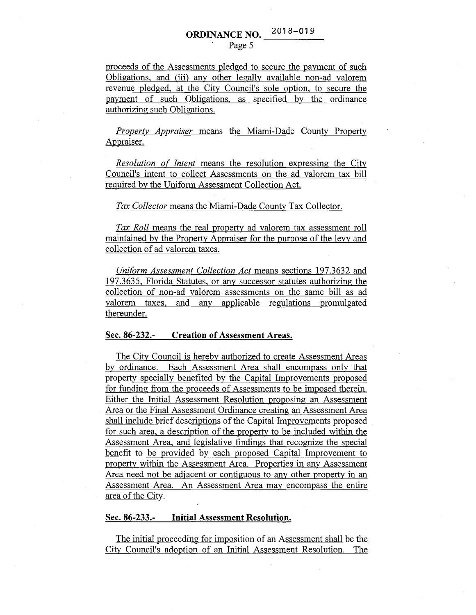# **ORDINANCE NO.** 2018-019

#### Page 5

proceeds of the Assessments pledged to secure the payment of such Obligations, and (iii) any other legally available non-ad valorem revenue pledged, at the City Council's sole option, to secure the payment of such Obligations, as specified by the ordinance authorizing such Obligations.

*Property Appraiser* means the Miami-Dade County Property Appraiser.

*Resolution of Intent* means the resolution expressing the City Council's intent to collect Assessments on the ad valorem tax bill required by the Uniform Assessment Collection Act.

#### *Tax Collector* means the Miami-Dade County Tax Collector.

*Tax Roll* means the real property ad valorem tax assessment roll maintained by the Property Appraiser for the purpose of the levy and collection of ad valorem taxes.

*Uniform Assessment Collection Act* means sections 197.3632 and 197.3635, Florida Statutes, or any successor statutes authorizing the collection of non-ad valorem assessments on the same bill as ad valorem taxes, and any applicable regulations promulgated thereunder.

#### **Sec. 86-232.- Creation of Assessment Areas.**

The City Council is hereby authorized to create Assessment Areas by ordinance. Each Assessment Area shall encompass only that property specially benefited by the Capital Improvements proposed for funding from the proceeds of Assessments to be imposed therein. Either the Initial Assessment Resolution proposing an Assessment Area or the Final Assessment Ordinance creating an Assessment Area shall include brief descriptions of the Capital Improvements proposed for such area, a description of the property to be included within the Assessment Area, and legislative findings that recognize the special benefit to be provided by each proposed Capital Improvement to property within the Assessment Area. Properties in any Assessment Area need not be adjacent or contiguous to any other property in an Assessment Area. An Assessment Area may encompass the entire area of the City.

#### **Sec. 86-233.- Initial Assessment Resolution.**

The initial proceeding for imposition of an Assessment shall be the City Council's adoption of an Initial Assessment Resolution. The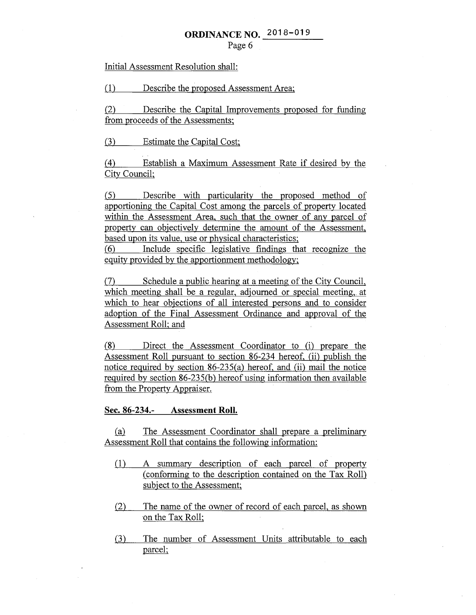Initial Assessment Resolution shall:

(1) Describe the proposed Assessment Area;

(2) Describe the Capital Improvements proposed for funding from proceeds of the Assessments;

(3) Estimate the Capital Cost;

( 4) Establish a Maximum Assessment Rate if desired by the City Council;

(5) Describe with particularity the proposed method of apportioning the Capital Cost among the parcels of property located within the Assessment Area, such that the owner of any parcel of property can objectively determine the amount of the Assessment, based upon its value, use or physical characteristics;

(6) Include specific legislative findings that recogmze the equity provided by the apportionment methodology;

(7) Schedule a public hearing at a meeting of the City Council, which meeting shall be a regular, adjourned or special meeting, at which to hear objections of all interested persons and to consider adoption of the Final Assessment Ordinance and approval of the Assessment Roll; and

(8) Direct the Assessment Coordinator to (i) prepare the Assessment Roll pursuant to section 86-234 hereof, (ii) publish the notice required by section 86-235(a) hereof, and (ii) mail the notice required by section 86-235(b) hereof using information then available from the Property Appraiser.

**Sec. 86-234.- Assessment Roll.** 

(a) The Assessment Coordinator shall prepare a preliminary Assessment Roll that contains the following information:

- (1) A summary description of each parcel of property (conforming to the description contained on the Tax Roll) subject to the Assessment;
- (2) The name of the owner of record of each parcel, as shown ·on the Tax Roll;
- (3) The number of Assessment Units attributable to each parcel;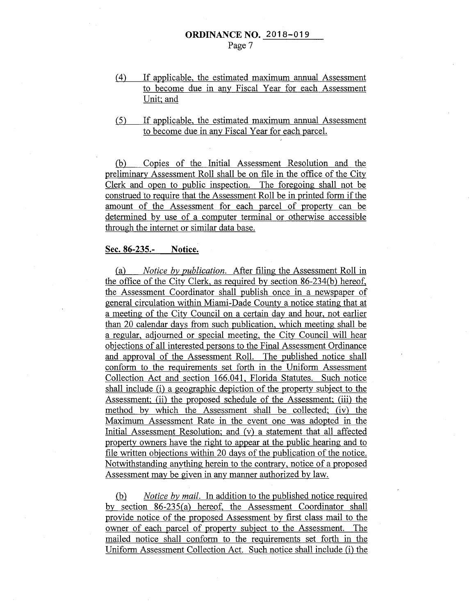- ( 4) If applicable, the estimated maximum annual Assessment to become due in any Fiscal Year for each Assessment Unit; and
- (5) If applicable, the estimated maximum annual Assessment to become due in any Fiscal Year for each parcel.

(b) Copies of the Initial Assessment Resolution and the preliminary Assessment Roll shall be on file in the office of the City Clerk and open to public inspection. The foregoing shall not be construed to require that the Assessment Roll be in printed form if the amount of the Assessment for each parcel of property can be determined by use of a computer terminal or otherwise accessible through the internet or similar data base.

#### **Sec. 86-235.- Notice.**

(a) *Notice by publication.* After filing the Assessment Roll in the office of the City Clerk, as required by section 86-234(b) hereof, the Assessment Coordinator shall publish once in a newspaper of general circulation within Miami-Dade County a notice stating that at a meeting of the City Council on a certain day and hour, not earlier than 20 calendar days from such publication, which meeting shall be a regular, adjourned or special meeting, the City Council will hear objections of all interested persons to the Final Assessment Ordinance and approval of the Assessment Roll. The published notice shall conform to the requirements set forth in the Uniform Assessment Collection Act and section 166.041, Florida Statutes. Such notice shall include (i) a geographic depiction of the property subject to the Assessment; (ii) the proposed schedule of the Assessment; (iii) the method by which the Assessment shall be collected; (iv) the Maximum Assessment Rate in the event one was adopted in the Initial Assessment Resolution; and (v) a statement that all affected property owners have the right to appear at the public hearing and to file written objections within 20 days of the publication of the notice. Notwithstanding anything herein to the contrary, notice of a proposed Assessment may be given in any manner authorized by law.

(b) *Notice by mail.* In addition to the published notice required by section 86-235(a) hereof, the Assessment Coordinator shall provide notice of the proposed Assessment by first class mail to the owner of each parcel of property subject to the Assessment. The mailed notice shall conform to the requirements set forth in the Uniform Assessment Collection Act. Such notice shall include (i) the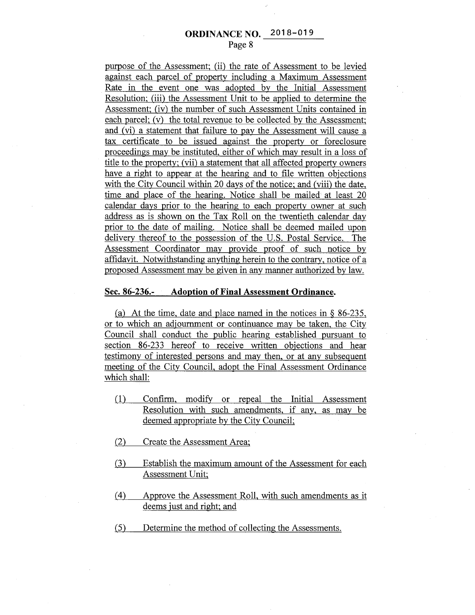purpose of the Assessment; (ii) the rate of Assessment to be levied against each parcel of property including a Maximum Assessment Rate in the event one was adopted by the Initial Assessment Resolution; (iii) the Assessment Unit to be applied to determine the Assessment; (iv) the number of such Assessment Units contained in each parcel; (v) the total revenue to be collected by the Assessment; and (vi) a statement that failure to pay the Assessment will cause a tax certificate to be issued against the property or foreclosure proceedings may be instituted, either of which may result in a loss of title to the property; (vii) a statement that all affected property owners have a right to appear at the hearing and to file written objections with the City Council within 20 days of the notice; and (viii) the date, time and place of the hearing. Notice shall be mailed at least 20 calendar days prior to the hearing to each property owner at such address as is shown on the Tax Roll on the twentieth calendar day prior to the date of mailing. Notice shall be deemed mailed upon delivery thereof to the possession of the U.S. Postal Service. The Assessment Coordinator may provide proof of such notice by affidavit. Notwithstanding anything herein to the contrary, notice of a proposed Assessment may be given in any manner authorized by law.

#### **Sec. 86-236.- Adoption of Final Assessment Ordinance.**

(a) At the time, date and place named in the notices in  $\S$  86-235, or to which an adjournment or continuance may be taken, the City Council shall conduct the public hearing established pursuant to section 86-233 hereof to receive written objections and hear testimony of interested persons and may then, or at any subsequent meeting of the City Council, adopt the Final Assessment Ordinance which shall:

- ( 1) Confirm, modify or repeal the Initial Assessment Resolution with such amendments, if any, as may be deemed appropriate by the City Council;
- (2) Create the Assessment Area;
- (3) Establish the maximum amount of the Assessment for each Assessment Unit;
- ( 4) Approve the Assessment Roll, with such amendments as it deems just and right; and
- (5) Determine the method of collecting the Assessments.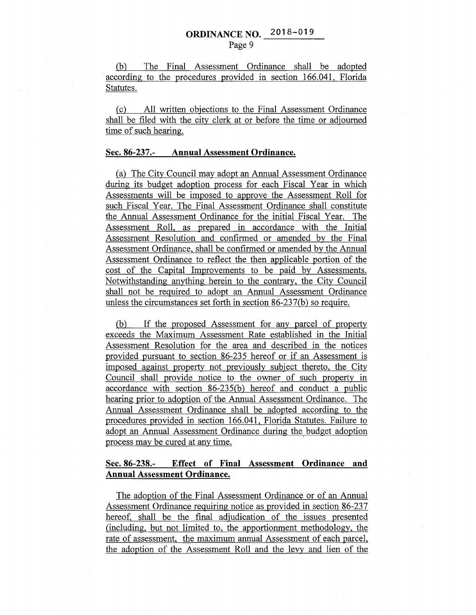(b) The Final Assessment Ordinance shall be adopted according to the procedures provided in section 166.041, Florida Statutes.

(c) All written objections to the Final Assessment Ordinance shall be filed with the city clerk at or before the time or adjourned time of such hearing.

#### Sec. 86-237.- Annual Assessment Ordinance.

(a) The City Council may adopt an Annual Assessment Ordinance during its budget adoption process for each Fiscal Year in which Assessments will be imposed to approve the Assessment Roll for such Fiscal Year. The Final Assessment Ordinance shall constitute the Annual Assessment Ordinance for the initial Fiscal Year. The Assessment Roll, as prepared in accordance with the Initial Assessment Resolution and confirmed or amended by the Final Assessment Ordinance, shall be confirmed or amended by the Annual Assessment Ordinance to reflect the then applicable portion of the cost of the Capital Improvements to be paid by Assessments. Notwithstanding anything herein to the contrary, the City Council shall not be required to adopt an Annual Assessment Ordinance unless the circumstances set forth in section 86-237(b) so require.

(b) If the proposed Assessment for any parcel of property exceeds the Maximum Assessment Rate established in the Initial Assessment Resolution for the area and described in the notices provided pursuant to section 86-235 hereof or if an Assessment is imposed against property not previously subject thereto, the City Council shall provide notice to the owner of such property in accordance with section 86-235(b) hereof and conduct a public hearing prior to adoption of the Annual Assessment Ordinance. The Annual Assessment Ordinance shall be adopted according to the procedures provided in section 166.041, Florida Statutes. Failure to adopt an Annual Assessment Ordinance during the budget adoption process may be cured at any time.

### Sec. 86-238.- Effect of Final Assessment Ordinance and Annual Assessment Ordinance.

The adoption of the Final Assessment Ordinance or of an Annual Assessment Ordinance requiring notice as provided in section 86-237 hereof, shall be the final adjudication of the issues presented (including, but not limited to, the apportionment methodology, the rate of assessment, the maximum annual Assessment of each parcel, the adoption of the Assessment Roll and the levy and lien of the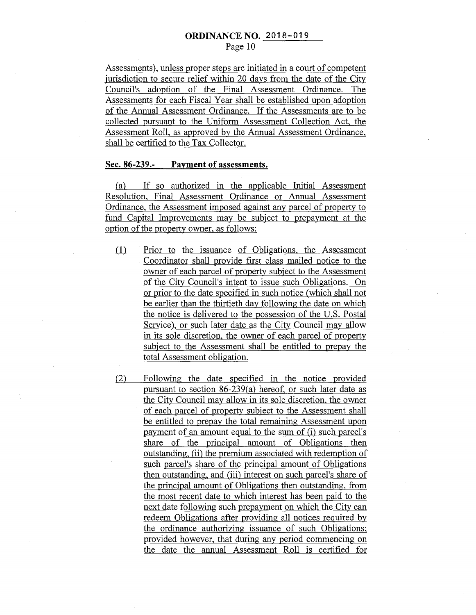Assessments), unless proper steps are initiated in a court of competent jurisdiction to secure relief within 20 days from the date of the City Council's adoption of the Final Assessment Ordinance. The Assessments for each Fiscal Year shall be established upon adoption of the Annual Assessment Ordinance. If the Assessments are to be collected pursuant to the Uniform Assessment Collection Act, the Assessment Roll, as approved by the Annual Assessment Ordinance, shall be certified to the Tax Collector.

#### **Sec. 86-239.- Payment of assessments.**

(a) If so authorized in the applicable Initial Assessment Resolution, Final Assessment Ordinance or Annual Assessment Ordinance, the Assessment imposed against any parcel of property to fund Capital Improvements may be subject to prepayment at the option of the property owner, as follows:

- (1) Prior to the issuance of Obligations, the Assessment Coordinator shall provide first class mailed notice to the owner of each parcel of property subject to the Assessment of the City Council's intent to issue such Obligations. On or prior to the date specified in such notice (which shall not be earlier than the thirtieth day following the date on which the notice is delivered to the possession of the U.S. Postal Service), or such later date as the City Council may allow in its sole discretion, the owner of each parcel of property subject to the Assessment shall be entitled to prepay the total Assessment obligation.
- (2) Following the date specified in the notice provided pursuant to section 86-239(a) hereof, or such later date as the City Council may allow in its sole discretion, the owner of each parcel of property subject to the Assessment shall be entitled to prepay the total remaining Assessment upon payment of an amount equal to the sum of (i) such parcel's share of the principal amount of Obligations then outstanding, (ii) the premium associated with redemption of such parcel's share of the principal amount of Obligations then outstanding, and (iii) interest on such parcel's share of the principal amount of Obligations then outstanding, from the most recent date to which interest has been paid to the next date following such prepayment on which the City can redeem Obligations after providing all notices required by the ordinance authorizing issuance of such Obligations; provided however, that during any period commencing on the date the annual Assessment Roll is certified for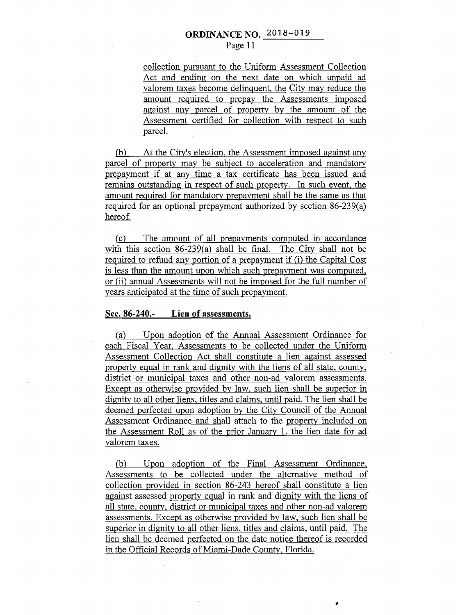collection pursuant to the Uniform Assessment Collection Act and ending on the next date on which unpaid ad valorem taxes become delinquent, the City may reduce the amount required to prepay the Assessments imposed against any parcel of property by the amount of the Assessment certified for collection with respect to such parcel.

(b) At the City's election, the Assessment imposed against any parcel of property may be subject to acceleration and mandatory prepayment if at any time a tax certificate has been issued and remains outstanding in respect of such property. In such event, the amount required for mandatory prepayment shall be the same as that required for an optional prepayment authorized by section 86-239(a) hereof.

(c) The amount of all prepayments computed in accordance with this section 86-239(a) shall be final. The City shall not be required to refund any portion of a prepayment if (i) the Capital Cost is less than the amount upon which such prepayment was computed, or (ii) annual Assessments will not be imposed for the full number of years anticipated at the time of such prepayment.

#### **Sec. 86-240.- Lien of assessments.**

(a) Upon adoption of the Annual Assessment Ordinance for each Fiscal Year, Assessments to be collected under the Uniform Assessment Collection Act shall constitute a lien against assessed property equal in rank and dignity with the liens of all state, county, district or municipal taxes and other non-ad valorem assessments. Except as otherwise provided by law, such lien shall be superior in dignity to all other liens, titles and claims, until paid. The lien shall be deemed perfected upon adoption by the City Council of the Annual Assessment Ordinance and shall attach to the property included on the Assessment Roll as of the prior January 1, the lien date for ad valorem taxes.

(b) Upon adoption of the Final Assessment Ordinance, Assessments to be collected under the alternative method of collection provided in section 86-243 hereof shall constitute a lien against assessed property equal in rank and dignity with the liens of all state, county, district or municipal taxes and other non-ad valorem assessments. Except as otherwise provided by law, such lien shall be superior in dignity to all other liens, titles and claims, until paid. The lien shall be deemed perfected on the date notice thereof is recorded in the Official Records of Miami-Dade County, Florida.

•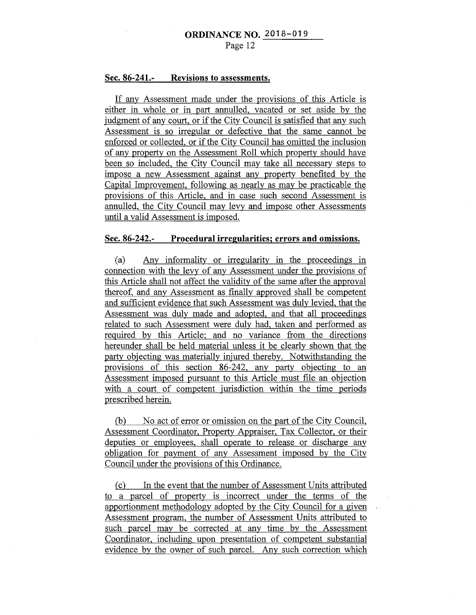#### **Sec. 86-241.- Revisions to assessments.**

If any Assessment made under the provisions of this Article is either in whole or in part annulled, vacated or set aside by the judgment of any court, or if the City Council is satisfied that any such Assessment is so irregular or defective that the same cannot be enforced or collected, or if the City Council has omitted the inclusion of any property on the Assessment Roll which property should have been so included, the City Council may take all necessary steps to impose a new Assessment against any property benefited by the Capital Improvement, following as nearly as may be practicable the provisions of this Article, and in case such second Assessment is annulled, the City Council may levy and impose other Assessments until a valid Assessment is imposed.

#### **Sec. 86-242.- Procedural irregularities; errors and omissions.**

(a) Any informality or irregularity in the proceedings in connection with the levy of any Assessment under the provisions of this Article shall not affect the validity of the same after the approval thereof, and any Assessment as finally approved shall be competent and sufficient evidence that such Assessment was duly levied, that the Assessment was duly made and adopted, and that all proceedings related to such Assessment were duly had, taken and performed as required by this Article; and no variance from the directions hereunder shall. be held material unless it be clearly shown that the party objecting was materially injured thereby. Notwithstanding the provisions of this section 86-242, any party objecting to an Assessment imposed pursuant to this Article must file an objection with a court of competent. jurisdiction within the time periods prescribed herein.

(b) No act of error or omission on the part of the City Council, Assessment Coordinator, Property Appraiser, Tax Collector, or their deputies or employees, shall operate to release or discharge any obligation for payment of any Assessment imposed by the City Council under the provisions of this Ordinance.

(c) In the event that the number of Assessment Units attributed to a parcel of property is incorrect under the terms of the apportionment methodology adopted by the City Council for a given Assessment program, the number of Assessment Units attributed to such parcel may be corrected at any time by the Assessment Coordinator, including upon presentation of competent substantial evidence by the owner of such parcel. Any such correction which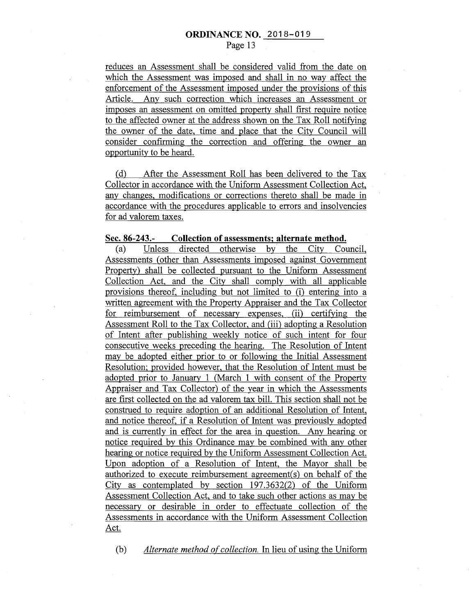reduces an Assessment shall be considered valid from the date on which the Assessment was imposed and shall in no way affect the enforcement of the Assessment imposed under the provisions of this Article. Any such correction which increases an Assessment or imposes an assessment on omitted property shall first require notice to the affected owner at the address shown on the Tax Roll notifying the owner of the date, time and place that the City Council will consider confirming the correction and offering the owner an opportunity to be heard.

(d) After the Assessment Roll has been delivered to the Tax Collector in accordance with the Uniform Assessment Collection Act, any changes, modifications or corrections thereto shall be made in accordance with the procedures applicable to errors and insolvencies for ad valorem taxes.

#### **Sec. 86-243.- Collection of assessments; alternate method.**

(a) Unless directed otherwise by the City Council, Assessments (other than Assessments imposed against Government Property) shall be collected pursuant to the Uniform Assessment Collection Act, and the City shall comply with all applicable provisions thereof, including but not limited to (i) entering into a written agreement with the Property Appraiser and the Tax Collector for reimbursement of necessary expenses, (ii) certifying the Assessment Roll to the Tax Collector, and (iii) adopting a Resolution of Intent after publishing weekly notice of such intent for four consecutive weeks preceding the hearing. The Resolution of Intent may be adopted either prior to or following the Initial Assessment Resolution; provided however, that the Resolution of Intent must be adopted prior to January 1 (March 1 with consent of the Property Appraiser and Tax Collector) of the year in which the Assessments are first collected on the ad valorem tax bill. This section shall not be construed to require adoption of an additional Resolution of Intent, and notice thereof, if a Resolution of Intent was previously adopted and is currently in effect for the area in question. Any hearing or notice required by this Ordinance may be combined with any other hearing or notice required by the Uniform Assessment Collection Act. Upon adoption of a Resolution of Intent, the Mayor shall be authorized to execute reimbursement agreement(s) on behalf of the City as contemplated by section 197.3632(2) of the Uniform Assessment Collection Act, and to take such other actions as may be necessary or desirable in order to effectuate collection of the Assessments in accordance with the Uniform Assessment Collection Act.

(b) *Alternate method of collection.* In lieu of using the Uniform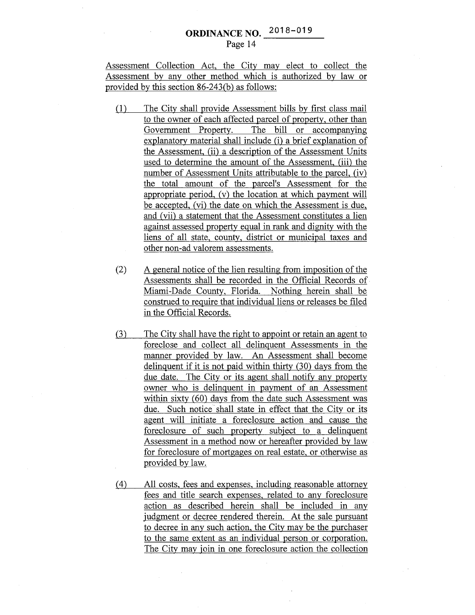### **ORDINANCE NO. 2018-019** Page 14

Assessment Collection Act, the City may elect to collect the Assessment by any other method which is authorized by law or provided by this section 86-243(b) as follows:

- (1) The City shall provide Assessment bills by first class mail to the owner of each affected parcel of property, other than Government Property. The bill or accompanying explanatory material shall include (i) a brief explanation of the Assessment, (ii) a description of the Assessment Units used to determine the amount of the Assessment, (iii) the number of Assessment Units attributable to the parcel, (iv) the total amount of the parcel's Assessment for the appropriate period, (v) the location at which payment will be accepted, (vi) the date on which the Assessment is due, and (vii) a statement that the Assessment constitutes a lien against assessed property equal in rank and dignity with the liens of all state, county, district or municipal taxes and other non-ad valorem assessments.
- $(2)$  A general notice of the lien resulting from imposition of the Assessments shall be recorded in the Official Records of. Miami-Dade County, Florida. Nothing herein shall be construed to require that individual liens or releases be filed in the Official Records.
- (3) The City shall have the right to appoint or retain an agent to foreclose and collect all delinquent Assessments in the manner provided by law. An Assessment shall become delinquent if it is not paid within thirty (30) days from the due date. The City or its agent shall notify any property owner who is delinquent in payment of an Assessment within sixty (60) days from the date such Assessment was due. Such notice shall state in effect that the City or its agent will initiate a foreclosure action and cause the foreclosure of such property subject to a delinquent Assessment in a method now or hereafter provided by law for foreclosure of mortgages on real estate, or otherwise as provided by law.
- (4) All costs, fees and expenses, including reasonable attorney fees and title search expenses, related to any foreclosure action as described herein shall be included in any judgment or decree rendered therein. At the sale pursuant to decree in any such action, the City may be the purchaser to the same extent as an individual person or corporation. The City may join in one foreclosure action the collection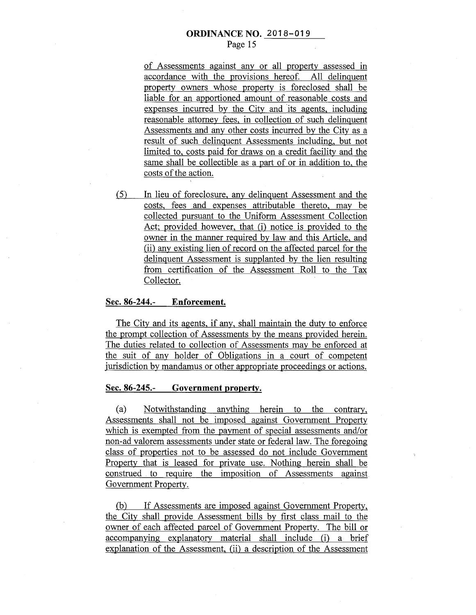of Assessments against any or all property assessed in accordance with the provisions hereof. All delinquent property owners whose property is foreclosed shall be liable for an apportioned amount of reasonable costs and expenses incurred by the City and 'its agents, including reasonable attorney fees, in collection of such delinquent Assessments and any other costs incurred by the City as a result of such delinquent Assessments including, but not limited to, costs paid for draws on a credit facility and the same shall be collectible as a part of or in addition to, the costs of the action.

(5) In lieu of foreclosure, any delinquent Assessment and the costs, fees and expenses attributable thereto, may be collected pursuant to the Uniform Assessment Collection Act; provided however, that (i) notice is provided to the owner in the manner required by law and this Article, and (ii) any existing lien of record on the affected parcel for the delinquent Assessment is supplanted by the lien resulting from certification of the Assessment Roll to the Tax Collector.

#### **Sec. 86-244.- Enforcement.**

The City and its agents, if any, shall maintain the duty to enforce the prompt collection of Assessments by the means provided herein. The duties related to collection of Assessments may be enforced at the suit of any holder of Obligations in a court of competent jurisdiction by mandamus or other appropriate proceedings or actions.

#### **Sec. 86-245.- Government property.**

(a) Notwithstanding anything herein to the contrary, Assessments shall not be imposed against Government Property which is exempted from the payment of special assessments and/or non-ad valorem assessments under state or federal law. The foregoing class of properties not to be assessed do not include Government Property that is leased for private use. Nothing herein shall be construed to require the imposition of Assessments against Government Property.

(b) If Assessments are imposed against Government Property, the City shall provide Assessment bills by first class mail to the owner of each affected parcel of Government Property. The bill or accompanying explanatory material shall include (i) a brief explanation of the Assessment, (ii) a description of the Assessment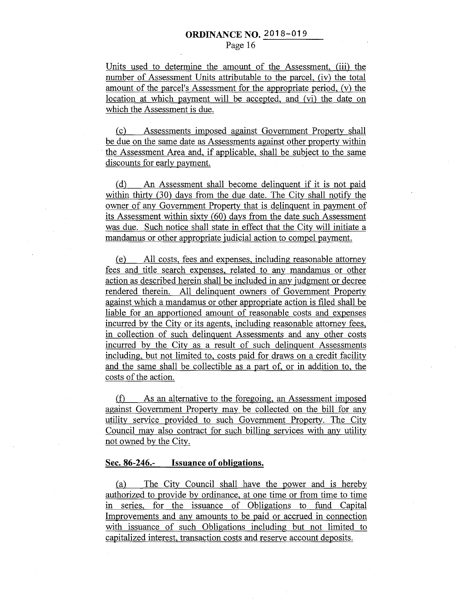Units used to determine the amount of the Assessment, (iii) the number of Assessment Units attributable to the parcel, (iv) the total amount of the parcel's Assessment for the appropriate period, (v) the location at which payment will be accepted, and (vi) the date on which the Assessment is due.

(c) Assessments imposed against Government Property shall be due on the same date as Assessments against other property within the Assessment Area and, if applicable, shall be subject to the same discounts for early payment.

(d) An Assessment shall become delinquent if it is not paid within thirty (30) days from the due date. The City shall notify the owner of any Government Property that is delinquent in payment of its Assessment within sixty (60) days from the date such Assessment was due. Such notice shall state in effect that the City will initiate a mandamus or other appropriate judicial action to compel payment.

(e) All costs, fees and expenses, including reasonable attorney fees and title search expenses, related to any mandamus or other action as described herein shall be included in any judgment or decree rendered therein. All delinquent owners of Government Property against which a mandamus or other appropriate action is filed shall be liable for an apportioned amount of reasonable costs and expenses incurred by the City or its agents, including reasonable attorney fees, in collection of such delinquent Assessments and any other costs incurred by the City as a result of such delinquent Assessments including, but not limited to, costs paid for draws on a credit facility and the same shall be collectible as a part of, or in addition to, the costs of the action.

(f) As an alternative to the foregoing, an Assessment imposed against Government Property may be collected on the bill for any utility service provided to such Government Property. The City Council may also contract for such billing services with any utility not owned by the City.

#### **Sec. 86-246.- Issuance of obligations.**

(a) The City Council shall have the power and is hereby authorized to provide by ordinance, at one time or from time to time in series, for the issuance of Obligations to fund Capital Improvements and any amounts to be paid or accrued in connection with issuance of such Obligations including but not limited to capitalized interest, transaction costs and reserve account deposits.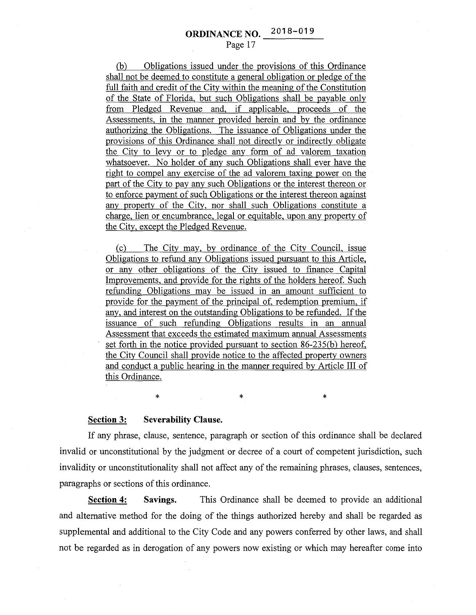(b) Obligations issued under the provisions of this Ordinance shall not be deemed to constitute a general obligation or pledge of the full faith and credit of the City within the meaning of the Constitution of the State of Florida, but such Obligations shall be payable only from Pledged Revenue and, if applicable, proceeds of the Assessments, in the manner provided herein and by the ordinance authorizing the Obligations. The issuance of Obligations under the provisions of this Ordinance shall not directly or indirectly obligate the City to levy or to pledge any form of ad valorem taxation whatsoever. No holder of any such Obligations shall ever have the right to compel any exercise of the ad valorem taxing power on the part of the City to pay any such Obligations or the interest thereon or to enforce payment of such Obligations or the interest thereon against any property of the City, nor shall such Obligations constitute a charge, lien or encumbrance, legal or equitable, upon any property of the City, except the Pledged Revenue.

(c) The City may, by ordinance of the City Council, issue Obligations to refund any Obligations issued pursuant to this Article, or any other obligations of the City issued to finance Capital Improvements, and provide for the rights of the holders hereof. Such refunding Obligations may be issued in an amount sufficient to provide for the payment of the principal of, redemption premium, if any, and interest on the outstanding Obligations to be refunded. If the issuance of such refunding Obligations results in an annual Assessment that exceeds the estimated maximum annual Assessments set forth in the notice provided pursuant to section 86-235(b) hereof, the City Council shall provide notice to the affected property owners and conduct a public hearing in the manner required by Article III of this Ordinance.

**Section 3: Severability Clause.** 

If any phrase, clause, sentence, paragraph or section of this ordinance shall be declared invalid or unconstitutional by the judgment or decree of a court of competent jurisdiction, such invalidity or unconstitutionality shall not affect any of the remaining phrases, clauses, sentences, paragraphs or sections of this ordinance.

 $\ast$   $\ast$   $\ast$ 

**Section 4: Savings.** This Ordinance shall be deemed to provide an additional and alternative method for the doing of the things authorized hereby and shall be regarded as supplemental and additional to the City Code and any powers conferred by other laws, and shall not be regarded as in derogation of any powers now existing or which may hereafter come into